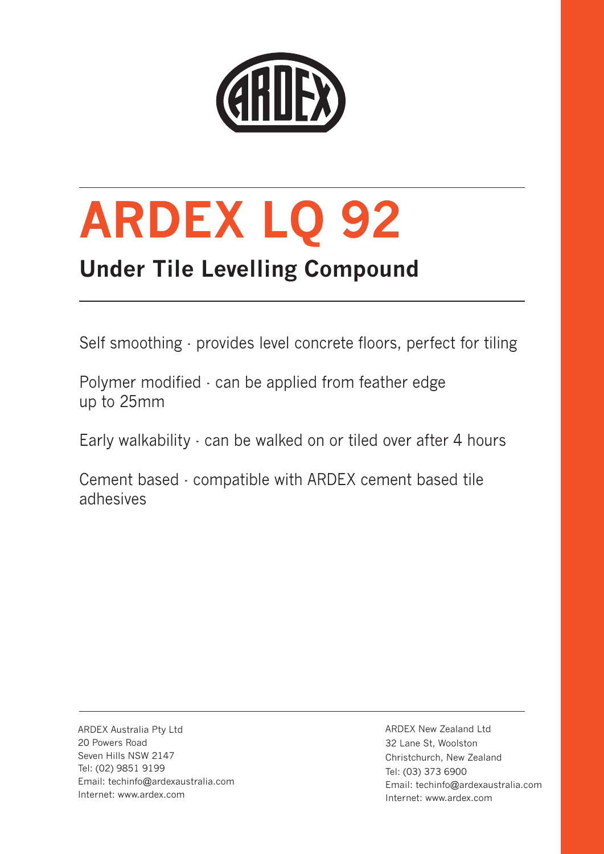

# **ARDEX LQ 92**

# **Under Tile Levelling Compound**

Self smoothing - provides level concrete floors, perfect for tiling

Polymer modified - can be applied from feather edge up to 25mm

Early walkability - can be walked on or tiled over after 4 hours

Cement based - compatible with ARDEX cement based tile adhesives

ARDEX Australia Pty Ltd 20 Powers Road Seven Hills NSW 2147 Tel: (02) 9851 9199 Email: techinfo@ardexaustralia.com Internet: www.ardex.com

ARDEX New Zealand Ltd 32 Lane St, Woolston Christchurch, New Zealand Tel: (03) 373 6900 Email: techinfo@ardexaustralia.com Internet: www.ardex.com